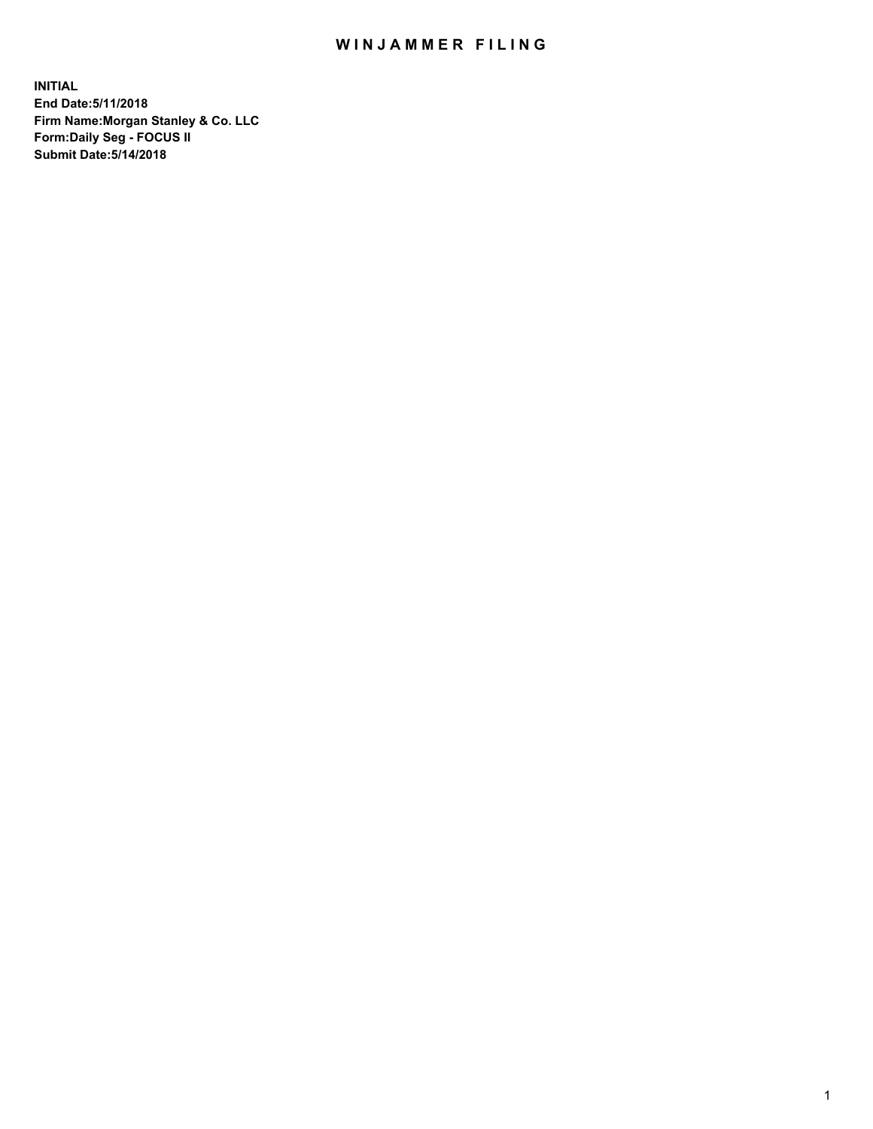## WIN JAMMER FILING

**INITIAL End Date:5/11/2018 Firm Name:Morgan Stanley & Co. LLC Form:Daily Seg - FOCUS II Submit Date:5/14/2018**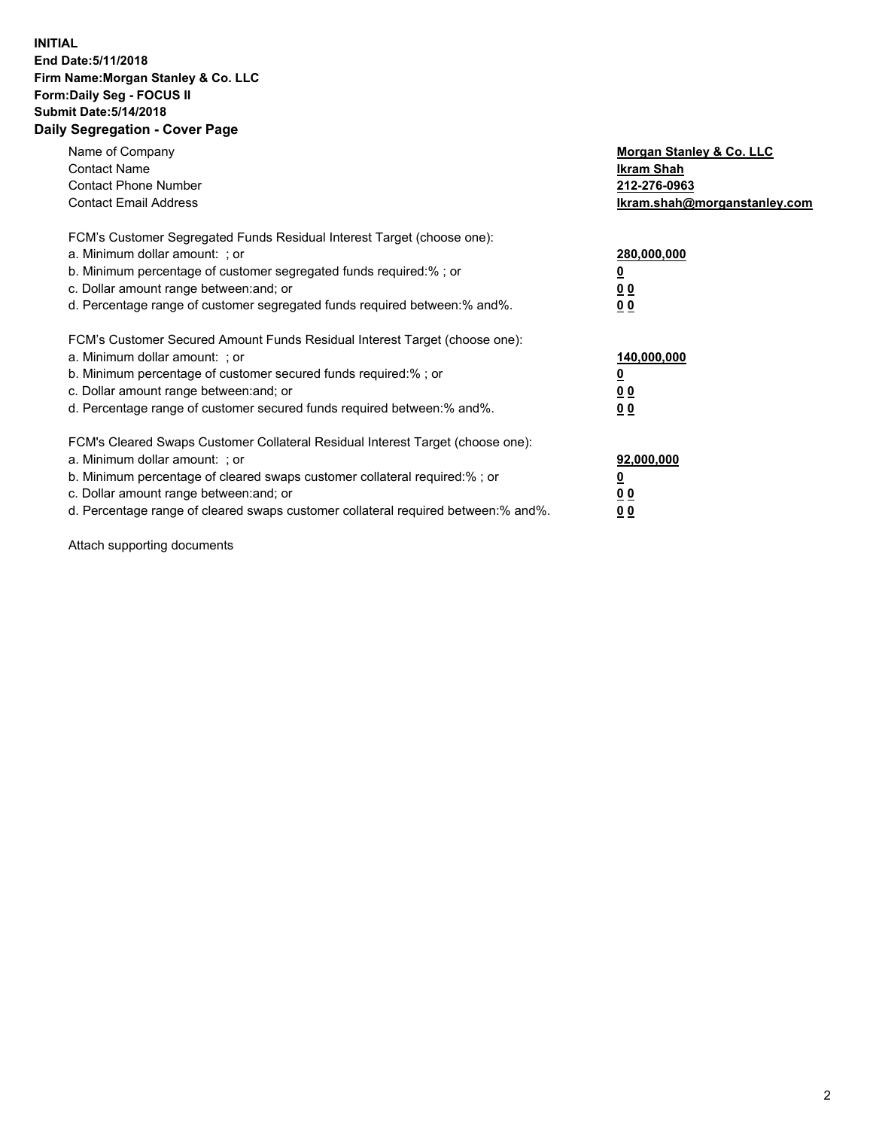## **INITIAL End Date:5/11/2018 Firm Name:Morgan Stanley & Co. LLC Form:Daily Seg - FOCUS II Submit Date:5/14/2018 Daily Segregation - Cover Page**

| Name of Company<br><b>Contact Name</b><br><b>Contact Phone Number</b><br><b>Contact Email Address</b>                                                                                                                                                                                                                          | Morgan Stanley & Co. LLC<br><b>Ikram Shah</b><br>212-276-0963<br>Ikram.shah@morganstanley.com |
|--------------------------------------------------------------------------------------------------------------------------------------------------------------------------------------------------------------------------------------------------------------------------------------------------------------------------------|-----------------------------------------------------------------------------------------------|
| FCM's Customer Segregated Funds Residual Interest Target (choose one):<br>a. Minimum dollar amount: ; or<br>b. Minimum percentage of customer segregated funds required:%; or<br>c. Dollar amount range between: and; or<br>d. Percentage range of customer segregated funds required between: % and %.                        | 280,000,000<br><u>0</u><br>0 <sub>0</sub><br>0 <sub>0</sub>                                   |
| FCM's Customer Secured Amount Funds Residual Interest Target (choose one):<br>a. Minimum dollar amount: ; or<br>b. Minimum percentage of customer secured funds required:%; or<br>c. Dollar amount range between: and; or<br>d. Percentage range of customer secured funds required between: % and %.                          | 140,000,000<br>0 <sub>0</sub><br>0 <sub>0</sub>                                               |
| FCM's Cleared Swaps Customer Collateral Residual Interest Target (choose one):<br>a. Minimum dollar amount: ; or<br>b. Minimum percentage of cleared swaps customer collateral required:% ; or<br>c. Dollar amount range between: and; or<br>d. Percentage range of cleared swaps customer collateral required between:% and%. | 92,000,000<br>0 <sub>0</sub><br>0 <sub>0</sub>                                                |

Attach supporting documents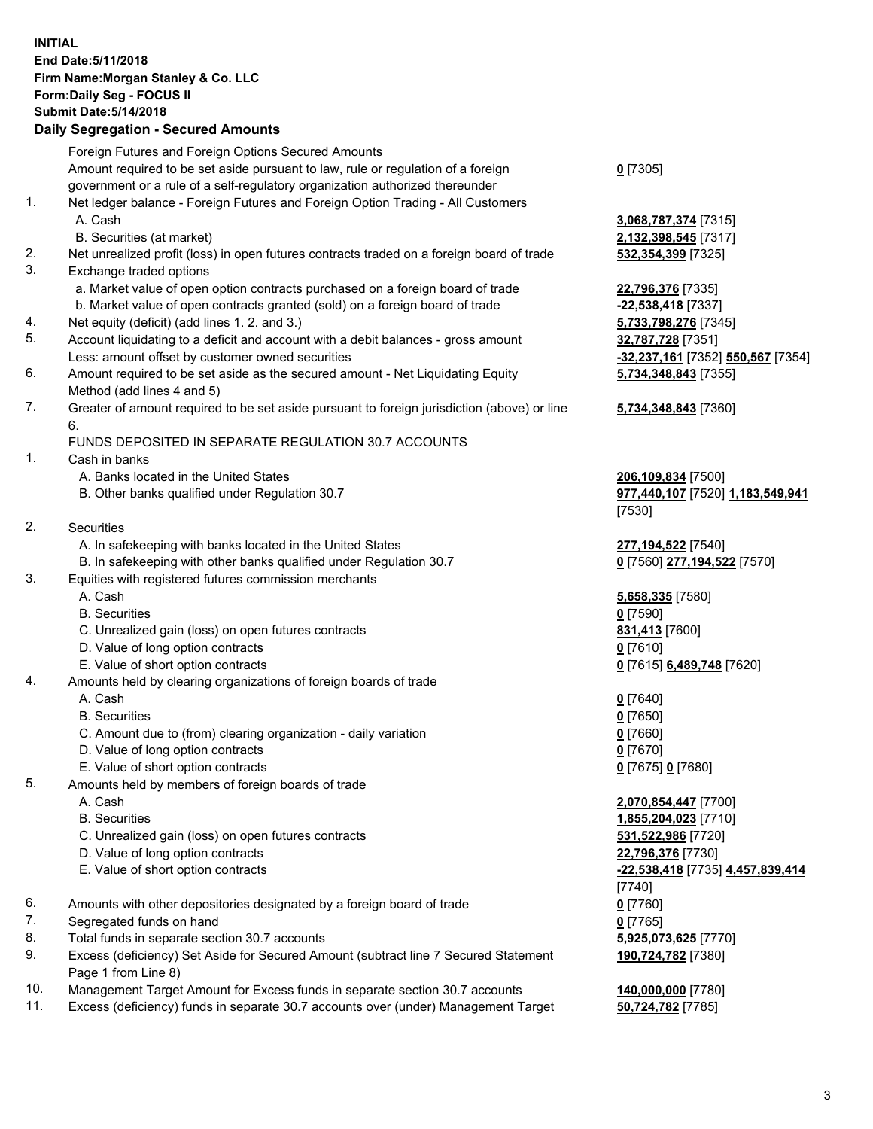## **INITIAL End Date:5/11/2018 Firm Name:Morgan Stanley & Co. LLC Form:Daily Seg - FOCUS II Submit Date:5/14/2018 Daily Segregation - Secured Amounts**

Foreign Futures and Foreign Options Secured Amounts Amount required to be set aside pursuant to law, rule or regulation of a foreign government or a rule of a self-regulatory organization authorized thereunder **0** [7305] 1. Net ledger balance - Foreign Futures and Foreign Option Trading - All Customers A. Cash **3,068,787,374** [7315] B. Securities (at market) **2,132,398,545** [7317] 2. Net unrealized profit (loss) in open futures contracts traded on a foreign board of trade **532,354,399** [7325] 3. Exchange traded options a. Market value of open option contracts purchased on a foreign board of trade **22,796,376** [7335] b. Market value of open contracts granted (sold) on a foreign board of trade **-22,538,418** [7337] 4. Net equity (deficit) (add lines 1. 2. and 3.) **5,733,798,276** [7345] 5. Account liquidating to a deficit and account with a debit balances - gross amount **32,787,728** [7351] Less: amount offset by customer owned securities **-32,237,161** [7352] **550,567** [7354] 6. Amount required to be set aside as the secured amount - Net Liquidating Equity Method (add lines 4 and 5) **5,734,348,843** [7355] 7. Greater of amount required to be set aside pursuant to foreign jurisdiction (above) or line 6. **5,734,348,843** [7360] FUNDS DEPOSITED IN SEPARATE REGULATION 30.7 ACCOUNTS 1. Cash in banks A. Banks located in the United States **206,109,834** [7500] B. Other banks qualified under Regulation 30.7 **977,440,107** [7520] **1,183,549,941** [7530] 2. Securities A. In safekeeping with banks located in the United States **277,194,522** [7540] B. In safekeeping with other banks qualified under Regulation 30.7 **0** [7560] **277,194,522** [7570] 3. Equities with registered futures commission merchants A. Cash **5,658,335** [7580] B. Securities **0** [7590] C. Unrealized gain (loss) on open futures contracts **831,413** [7600] D. Value of long option contracts **0** [7610] E. Value of short option contracts **0** [7615] **6,489,748** [7620] 4. Amounts held by clearing organizations of foreign boards of trade A. Cash **0** [7640] B. Securities **0** [7650] C. Amount due to (from) clearing organization - daily variation **0** [7660] D. Value of long option contracts **0** [7670] E. Value of short option contracts **0** [7675] **0** [7680] 5. Amounts held by members of foreign boards of trade A. Cash **2,070,854,447** [7700] B. Securities **1,855,204,023** [7710] C. Unrealized gain (loss) on open futures contracts **531,522,986** [7720] D. Value of long option contracts **22,796,376** [7730] E. Value of short option contracts **-22,538,418** [7735] **4,457,839,414** [7740] 6. Amounts with other depositories designated by a foreign board of trade **0** [7760] 7. Segregated funds on hand **0** [7765] 8. Total funds in separate section 30.7 accounts **5,925,073,625** [7770] 9. Excess (deficiency) Set Aside for Secured Amount (subtract line 7 Secured Statement Page 1 from Line 8) **190,724,782** [7380] 10. Management Target Amount for Excess funds in separate section 30.7 accounts **140,000,000** [7780]

11. Excess (deficiency) funds in separate 30.7 accounts over (under) Management Target **50,724,782** [7785]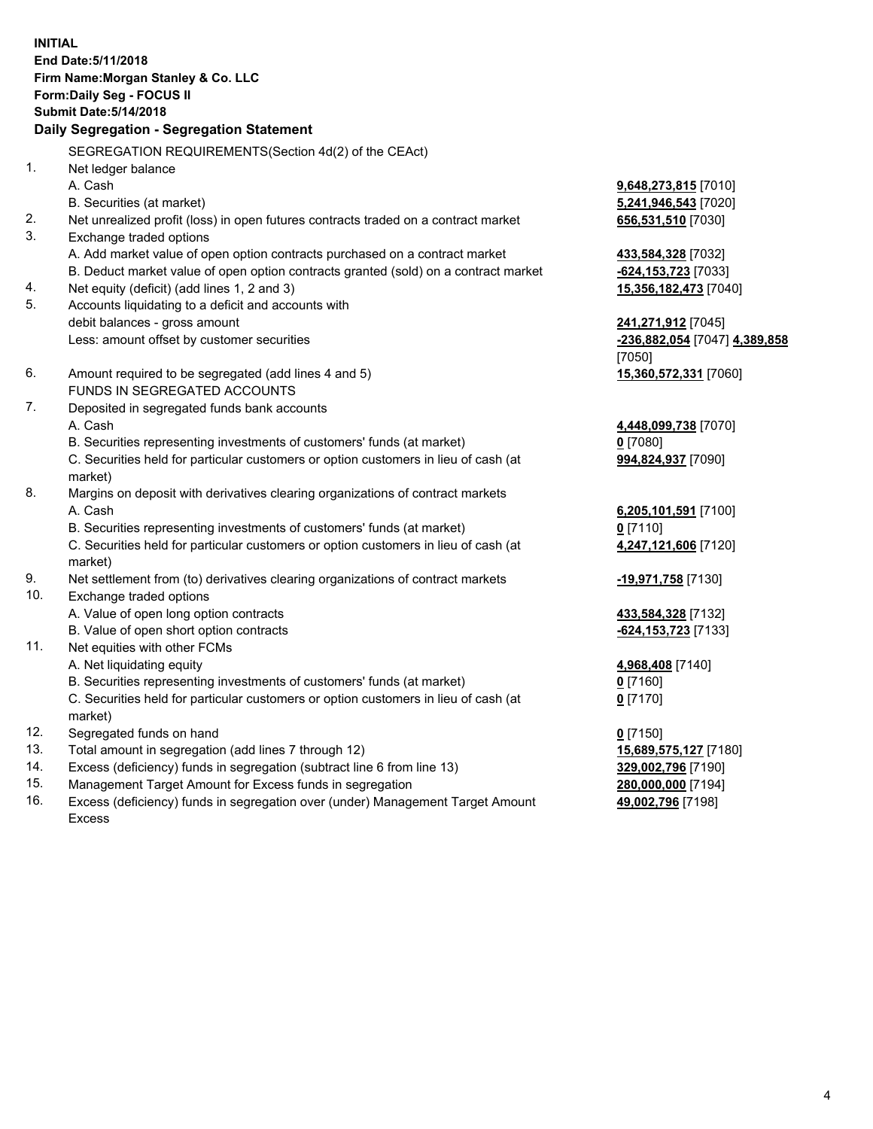**INITIAL End Date:5/11/2018 Firm Name:Morgan Stanley & Co. LLC Form:Daily Seg - FOCUS II Submit Date:5/14/2018 Daily Segregation - Segregation Statement** SEGREGATION REQUIREMENTS(Section 4d(2) of the CEAct) 1. Net ledger balance A. Cash **9,648,273,815** [7010] B. Securities (at market) **5,241,946,543** [7020] 2. Net unrealized profit (loss) in open futures contracts traded on a contract market **656,531,510** [7030] 3. Exchange traded options A. Add market value of open option contracts purchased on a contract market **433,584,328** [7032] B. Deduct market value of open option contracts granted (sold) on a contract market **-624,153,723** [7033] 4. Net equity (deficit) (add lines 1, 2 and 3) **15,356,182,473** [7040] 5. Accounts liquidating to a deficit and accounts with debit balances - gross amount **241,271,912** [7045] Less: amount offset by customer securities **-236,882,054** [7047] **4,389,858** [7050] 6. Amount required to be segregated (add lines 4 and 5) **15,360,572,331** [7060] FUNDS IN SEGREGATED ACCOUNTS 7. Deposited in segregated funds bank accounts A. Cash **4,448,099,738** [7070] B. Securities representing investments of customers' funds (at market) **0** [7080] C. Securities held for particular customers or option customers in lieu of cash (at market) **994,824,937** [7090] 8. Margins on deposit with derivatives clearing organizations of contract markets A. Cash **6,205,101,591** [7100] B. Securities representing investments of customers' funds (at market) **0** [7110] C. Securities held for particular customers or option customers in lieu of cash (at market) **4,247,121,606** [7120] 9. Net settlement from (to) derivatives clearing organizations of contract markets **-19,971,758** [7130] 10. Exchange traded options A. Value of open long option contracts **433,584,328** [7132] B. Value of open short option contracts **-624,153,723** [7133] 11. Net equities with other FCMs A. Net liquidating equity **4,968,408** [7140] B. Securities representing investments of customers' funds (at market) **0** [7160] C. Securities held for particular customers or option customers in lieu of cash (at market) **0** [7170] 12. Segregated funds on hand **0** [7150] 13. Total amount in segregation (add lines 7 through 12) **15,689,575,127** [7180] 14. Excess (deficiency) funds in segregation (subtract line 6 from line 13) **329,002,796** [7190]

- 15. Management Target Amount for Excess funds in segregation **280,000,000** [7194]
- 16. Excess (deficiency) funds in segregation over (under) Management Target Amount Excess

**49,002,796** [7198]